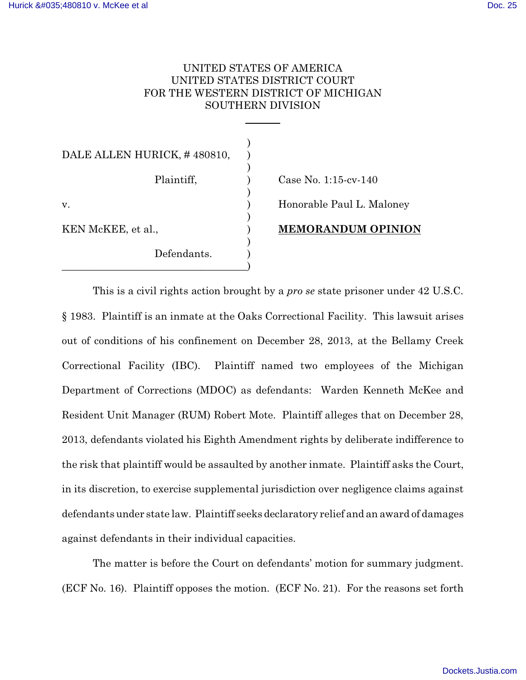# UNITED STATES OF AMERICA UNITED STATES DISTRICT COURT FOR THE WESTERN DISTRICT OF MICHIGAN SOUTHERN DIVISION

| DALE ALLEN HURICK, #480810, |                           |
|-----------------------------|---------------------------|
| Plaintiff,                  | Case No. $1:15$ -cv-140   |
| v.                          | Honorable Paul L. Maloney |
| KEN McKEE, et al.,          | <b>MEMORANDUM OPINION</b> |
| Defendants.                 |                           |

This is a civil rights action brought by a *pro se* state prisoner under 42 U.S.C. § 1983. Plaintiff is an inmate at the Oaks Correctional Facility. This lawsuit arises out of conditions of his confinement on December 28, 2013, at the Bellamy Creek Correctional Facility (IBC). Plaintiff named two employees of the Michigan Department of Corrections (MDOC) as defendants: Warden Kenneth McKee and Resident Unit Manager (RUM) Robert Mote. Plaintiff alleges that on December 28, 2013, defendants violated his Eighth Amendment rights by deliberate indifference to the risk that plaintiff would be assaulted by another inmate. Plaintiff asks the Court, in its discretion, to exercise supplemental jurisdiction over negligence claims against defendants under state law. Plaintiff seeks declaratory relief and an award of damages against defendants in their individual capacities.

The matter is before the Court on defendants' motion for summary judgment. (ECF No. 16). Plaintiff opposes the motion. (ECF No. 21). For the reasons set forth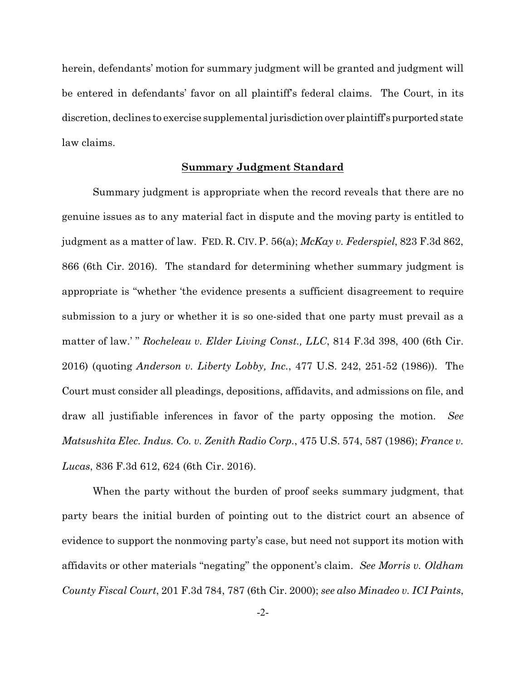herein, defendants' motion for summary judgment will be granted and judgment will be entered in defendants' favor on all plaintiff's federal claims. The Court, in its discretion, declines to exercise supplemental jurisdictionover plaintiff's purported state law claims.

## **Summary Judgment Standard**

Summary judgment is appropriate when the record reveals that there are no genuine issues as to any material fact in dispute and the moving party is entitled to judgment as a matter of law. FED. R. CIV. P. 56(a); *McKay v. Federspiel*, 823 F.3d 862, 866 (6th Cir. 2016). The standard for determining whether summary judgment is appropriate is "whether 'the evidence presents a sufficient disagreement to require submission to a jury or whether it is so one-sided that one party must prevail as a matter of law.' " *Rocheleau v. Elder Living Const., LLC*, 814 F.3d 398, 400 (6th Cir. 2016) (quoting *Anderson v. Liberty Lobby, Inc.*, 477 U.S. 242, 251-52 (1986)). The Court must consider all pleadings, depositions, affidavits, and admissions on file, and draw all justifiable inferences in favor of the party opposing the motion. *See Matsushita Elec. Indus. Co. v. Zenith Radio Corp.*, 475 U.S. 574, 587 (1986); *France v. Lucas*, 836 F.3d 612, 624 (6th Cir. 2016).

When the party without the burden of proof seeks summary judgment, that party bears the initial burden of pointing out to the district court an absence of evidence to support the nonmoving party's case, but need not support its motion with affidavits or other materials "negating" the opponent's claim. *See Morris v. Oldham County Fiscal Court*, 201 F.3d 784, 787 (6th Cir. 2000); *see also Minadeo v. ICI Paints*,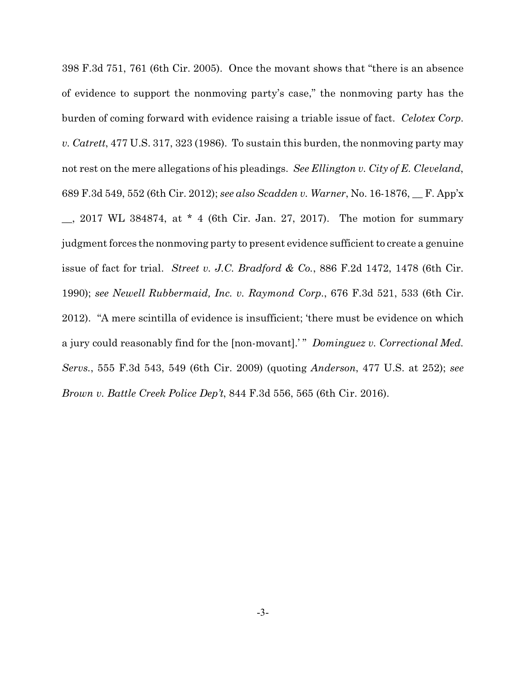398 F.3d 751, 761 (6th Cir. 2005). Once the movant shows that "there is an absence of evidence to support the nonmoving party's case," the nonmoving party has the burden of coming forward with evidence raising a triable issue of fact. *Celotex Corp. v. Catrett*, 477 U.S. 317, 323 (1986). To sustain this burden, the nonmoving party may not rest on the mere allegations of his pleadings. *See Ellington v. City of E. Cleveland*, 689 F.3d 549, 552 (6th Cir. 2012); *see also Scadden v. Warner*, No. 16-1876, \_\_ F. App'x \_\_, 2017 WL 384874, at \* 4 (6th Cir. Jan. 27, 2017). The motion for summary judgment forces the nonmoving party to present evidence sufficient to create a genuine issue of fact for trial. *Street v. J.C. Bradford & Co.*, 886 F.2d 1472, 1478 (6th Cir. 1990); *see Newell Rubbermaid, Inc. v. Raymond Corp.*, 676 F.3d 521, 533 (6th Cir. 2012). "A mere scintilla of evidence is insufficient; 'there must be evidence on which a jury could reasonably find for the [non-movant].' " *Dominguez v. Correctional Med. Servs.*, 555 F.3d 543, 549 (6th Cir. 2009) (quoting *Anderson*, 477 U.S. at 252); *see Brown v. Battle Creek Police Dep't*, 844 F.3d 556, 565 (6th Cir. 2016).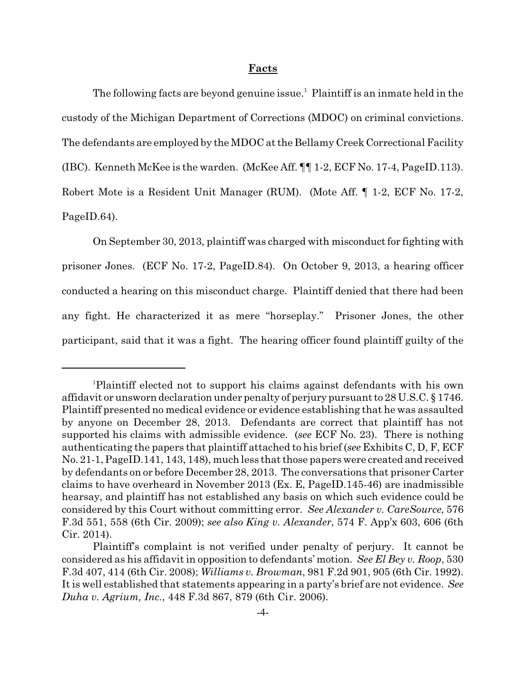#### **Facts**

The following facts are beyond genuine issue.<sup>1</sup> Plaintiff is an inmate held in the custody of the Michigan Department of Corrections (MDOC) on criminal convictions. The defendants are employed by the MDOC at the Bellamy Creek Correctional Facility (IBC). Kenneth McKee is the warden. (McKee Aff. ¶¶ 1-2, ECF No. 17-4, PageID.113). Robert Mote is a Resident Unit Manager (RUM). (Mote Aff. ¶ 1-2, ECF No. 17-2, PageID.64).

On September 30, 2013, plaintiff was charged with misconduct for fighting with prisoner Jones. (ECF No. 17-2, PageID.84). On October 9, 2013, a hearing officer conducted a hearing on this misconduct charge. Plaintiff denied that there had been any fight. He characterized it as mere "horseplay." Prisoner Jones, the other participant, said that it was a fight. The hearing officer found plaintiff guilty of the

<sup>1</sup>Plaintiff elected not to support his claims against defendants with his own affidavit or unsworn declaration under penalty of perjury pursuant to 28 U.S.C. § 1746. Plaintiff presented no medical evidence or evidence establishing that he was assaulted by anyone on December 28, 2013. Defendants are correct that plaintiff has not supported his claims with admissible evidence. (*see* ECF No. 23). There is nothing authenticating the papers that plaintiff attached to his brief (*see* Exhibits C, D, F, ECF No. 21-1, PageID.141, 143, 148), much less that those papers were created and received by defendants on or before December 28, 2013. The conversations that prisoner Carter claims to have overheard in November 2013 (Ex. E, PageID.145-46) are inadmissible hearsay, and plaintiff has not established any basis on which such evidence could be considered by this Court without committing error. *See Alexander v. CareSource*, 576 F.3d 551, 558 (6th Cir. 2009); *see also King v. Alexander*, 574 F. App'x 603, 606 (6th Cir. 2014).

Plaintiff's complaint is not verified under penalty of perjury. It cannot be considered as his affidavit in opposition to defendants' motion. *See El Bey v. Roop*, 530 F.3d 407, 414 (6th Cir. 2008); *Williams v. Browman*, 981 F.2d 901, 905 (6th Cir. 1992). It is well established that statements appearing in a party's brief are not evidence. *See Duha v. Agrium, Inc.*, 448 F.3d 867, 879 (6th Cir. 2006).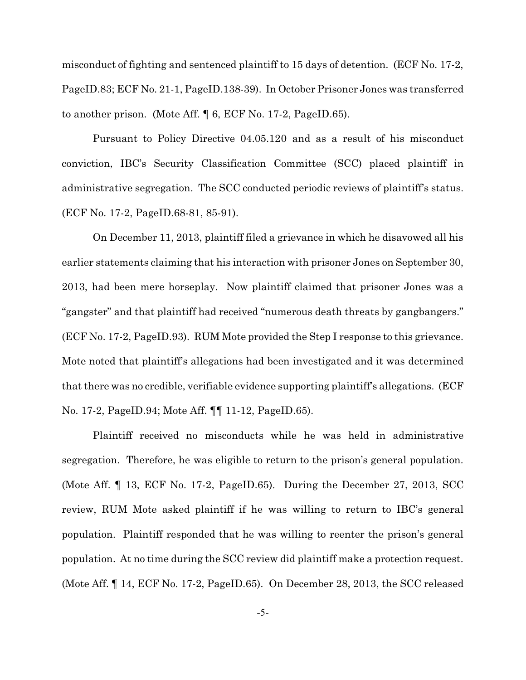misconduct of fighting and sentenced plaintiff to 15 days of detention. (ECF No. 17-2, PageID.83; ECF No. 21-1, PageID.138-39). In October Prisoner Jones was transferred to another prison. (Mote Aff. ¶ 6, ECF No. 17-2, PageID.65).

Pursuant to Policy Directive 04.05.120 and as a result of his misconduct conviction, IBC's Security Classification Committee (SCC) placed plaintiff in administrative segregation. The SCC conducted periodic reviews of plaintiff's status. (ECF No. 17-2, PageID.68-81, 85-91).

On December 11, 2013, plaintiff filed a grievance in which he disavowed all his earlier statements claiming that his interaction with prisoner Jones on September 30, 2013, had been mere horseplay. Now plaintiff claimed that prisoner Jones was a "gangster" and that plaintiff had received "numerous death threats by gangbangers." (ECF No. 17-2, PageID.93). RUM Mote provided the Step I response to this grievance. Mote noted that plaintiff's allegations had been investigated and it was determined that there was no credible, verifiable evidence supporting plaintiff's allegations. (ECF No. 17-2, PageID.94; Mote Aff. ¶¶ 11-12, PageID.65).

Plaintiff received no misconducts while he was held in administrative segregation. Therefore, he was eligible to return to the prison's general population. (Mote Aff. ¶ 13, ECF No. 17-2, PageID.65). During the December 27, 2013, SCC review, RUM Mote asked plaintiff if he was willing to return to IBC's general population. Plaintiff responded that he was willing to reenter the prison's general population. At no time during the SCC review did plaintiff make a protection request. (Mote Aff. ¶ 14, ECF No. 17-2, PageID.65). On December 28, 2013, the SCC released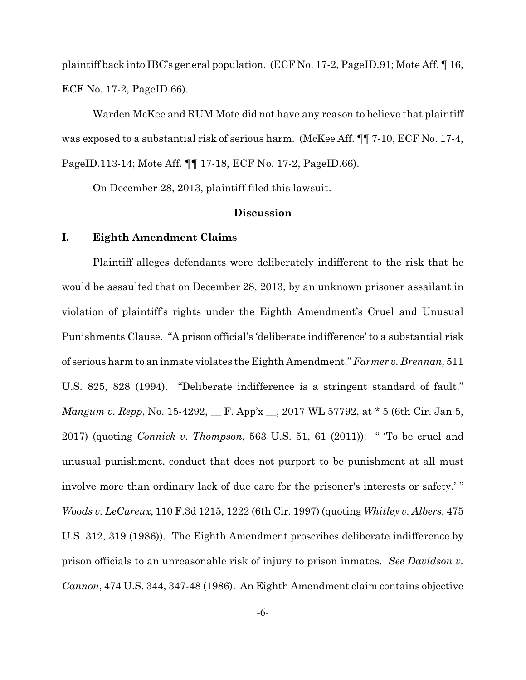plaintiff back into IBC's general population. (ECF No. 17-2, PageID.91; Mote Aff. ¶ 16, ECF No. 17-2, PageID.66).

Warden McKee and RUM Mote did not have any reason to believe that plaintiff was exposed to a substantial risk of serious harm. (McKee Aff.  $\P$  7-10, ECF No. 17-4, PageID.113-14; Mote Aff. ¶¶ 17-18, ECF No. 17-2, PageID.66).

On December 28, 2013, plaintiff filed this lawsuit.

## **Discussion**

## **I. Eighth Amendment Claims**

Plaintiff alleges defendants were deliberately indifferent to the risk that he would be assaulted that on December 28, 2013, by an unknown prisoner assailant in violation of plaintiff's rights under the Eighth Amendment's Cruel and Unusual Punishments Clause. "A prison official's 'deliberate indifference' to a substantial risk of serious harm to an inmate violates the Eighth Amendment." *Farmer v. Brennan*, 511 U.S. 825, 828 (1994). "Deliberate indifference is a stringent standard of fault." *Mangum v. Repp*, No. 15-4292, *\_\_ F. App'x \_\_, 2017 WL 57792, at* \* 5 (6th Cir. Jan 5, 2017) (quoting *Connick v. Thompson*, 563 U.S. 51, 61 (2011)). " 'To be cruel and unusual punishment, conduct that does not purport to be punishment at all must involve more than ordinary lack of due care for the prisoner's interests or safety.' " *Woods v. LeCureux*, 110 F.3d 1215, 1222 (6th Cir. 1997) (quoting *Whitley v. Albers*, 475 U.S. 312, 319 (1986)). The Eighth Amendment proscribes deliberate indifference by prison officials to an unreasonable risk of injury to prison inmates. *See Davidson v. Cannon*, 474 U.S. 344, 347-48 (1986). An Eighth Amendment claim contains objective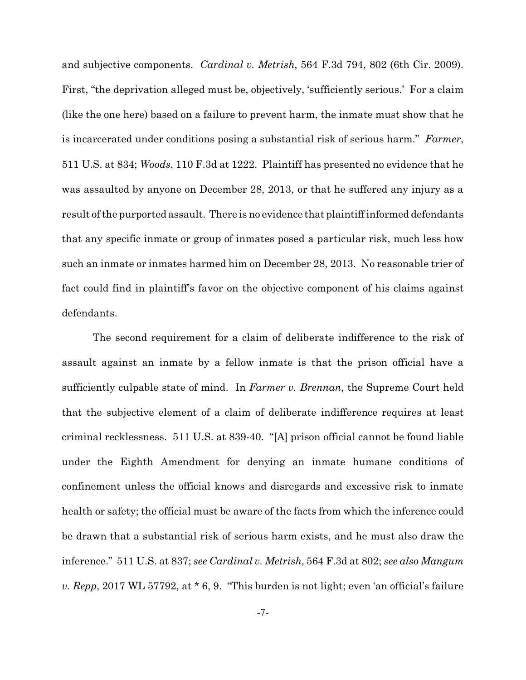and subjective components. *Cardinal v. Metrish*, 564 F.3d 794, 802 (6th Cir. 2009). First, "the deprivation alleged must be, objectively, 'sufficiently serious.' For a claim (like the one here) based on a failure to prevent harm, the inmate must show that he is incarcerated under conditions posing a substantial risk of serious harm." *Farmer*, 511 U.S. at 834; *Woods*, 110 F.3d at 1222. Plaintiff has presented no evidence that he was assaulted by anyone on December 28, 2013, or that he suffered any injury as a result of the purported assault. There is no evidence that plaintiff informed defendants that any specific inmate or group of inmates posed a particular risk, much less how such an inmate or inmates harmed him on December 28, 2013. No reasonable trier of fact could find in plaintiff's favor on the objective component of his claims against defendants.

The second requirement for a claim of deliberate indifference to the risk of assault against an inmate by a fellow inmate is that the prison official have a sufficiently culpable state of mind. In *Farmer v. Brennan*, the Supreme Court held that the subjective element of a claim of deliberate indifference requires at least criminal recklessness. 511 U.S. at 839-40. "[A] prison official cannot be found liable under the Eighth Amendment for denying an inmate humane conditions of confinement unless the official knows and disregards and excessive risk to inmate health or safety; the official must be aware of the facts from which the inference could be drawn that a substantial risk of serious harm exists, and he must also draw the inference." 511 U.S. at 837; *see Cardinal v. Metrish*, 564 F.3d at 802; *see also Mangum v. Repp*, 2017 WL 57792, at \* 6, 9. "This burden is not light; even 'an official's failure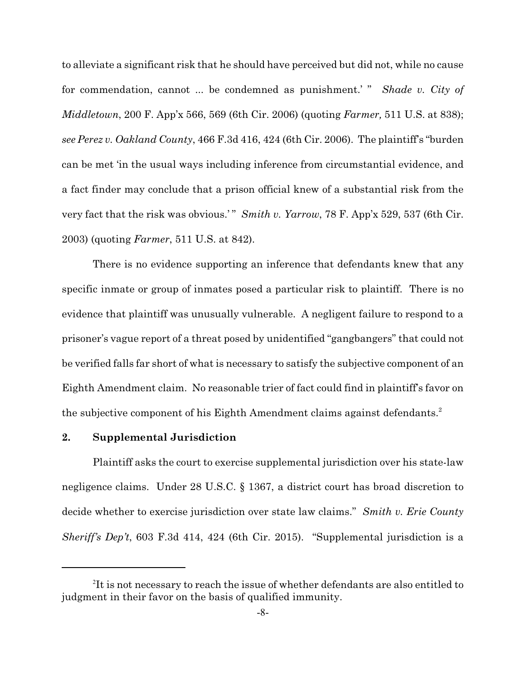to alleviate a significant risk that he should have perceived but did not, while no cause for commendation, cannot ... be condemned as punishment.' " *Shade v. City of Middletown*, 200 F. App'x 566, 569 (6th Cir. 2006) (quoting *Farmer,* 511 U.S. at 838); *see Perez v. Oakland County*, 466 F.3d 416, 424 (6th Cir. 2006). The plaintiff's "burden can be met 'in the usual ways including inference from circumstantial evidence, and a fact finder may conclude that a prison official knew of a substantial risk from the very fact that the risk was obvious.'" *Smith v. Yarrow*, 78 F. App'x 529, 537 (6th Cir. 2003) (quoting *Farmer*, 511 U.S. at 842).

There is no evidence supporting an inference that defendants knew that any specific inmate or group of inmates posed a particular risk to plaintiff. There is no evidence that plaintiff was unusually vulnerable. A negligent failure to respond to a prisoner's vague report of a threat posed by unidentified "gangbangers" that could not be verified falls far short of what is necessary to satisfy the subjective component of an Eighth Amendment claim. No reasonable trier of fact could find in plaintiff's favor on the subjective component of his Eighth Amendment claims against defendants.<sup>2</sup>

#### **2. Supplemental Jurisdiction**

Plaintiff asks the court to exercise supplemental jurisdiction over his state-law negligence claims. Under 28 U.S.C. § 1367, a district court has broad discretion to decide whether to exercise jurisdiction over state law claims." *Smith v. Erie County Sheriff's Dep't*, 603 F.3d 414, 424 (6th Cir. 2015). "Supplemental jurisdiction is a

 ${}^{2}$ It is not necessary to reach the issue of whether defendants are also entitled to judgment in their favor on the basis of qualified immunity.